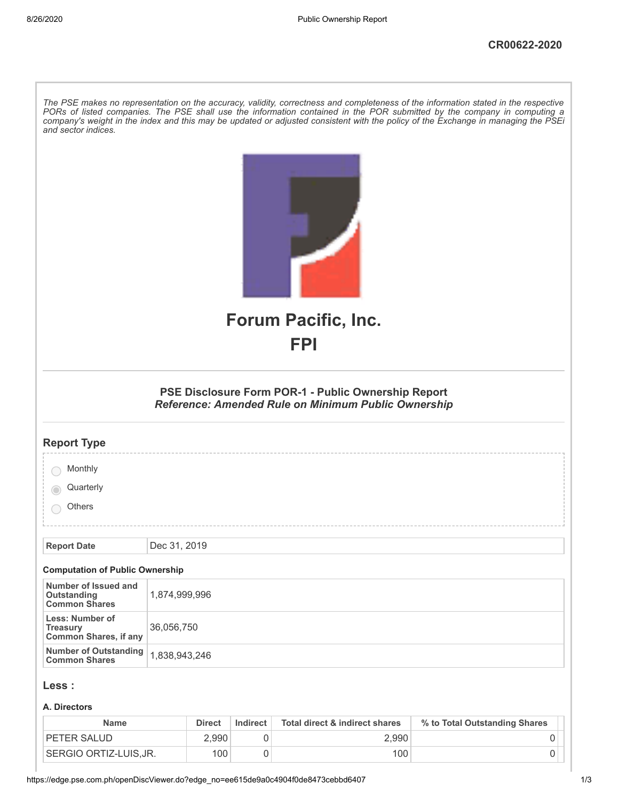| and sector indices.                                                | The PSE makes no representation on the accuracy, validity, correctness and completeness of the information stated in the respective<br>PORs of listed companies. The PSE shall use the information contained in the POR submitted by the company in computing a<br>company's weight in the index and this may be updated or adjusted consistent with the policy of the Exchange in managing the PSEi |
|--------------------------------------------------------------------|------------------------------------------------------------------------------------------------------------------------------------------------------------------------------------------------------------------------------------------------------------------------------------------------------------------------------------------------------------------------------------------------------|
|                                                                    | <b>Forum Pacific, Inc.</b><br>FPI                                                                                                                                                                                                                                                                                                                                                                    |
|                                                                    |                                                                                                                                                                                                                                                                                                                                                                                                      |
|                                                                    | PSE Disclosure Form POR-1 - Public Ownership Report<br><b>Reference: Amended Rule on Minimum Public Ownership</b>                                                                                                                                                                                                                                                                                    |
| <b>Report Type</b>                                                 |                                                                                                                                                                                                                                                                                                                                                                                                      |
| Monthly                                                            |                                                                                                                                                                                                                                                                                                                                                                                                      |
| Quarterly                                                          |                                                                                                                                                                                                                                                                                                                                                                                                      |
| Others                                                             |                                                                                                                                                                                                                                                                                                                                                                                                      |
|                                                                    |                                                                                                                                                                                                                                                                                                                                                                                                      |
| <b>Report Date</b>                                                 | Dec 31, 2019                                                                                                                                                                                                                                                                                                                                                                                         |
| <b>Computation of Public Ownership</b>                             |                                                                                                                                                                                                                                                                                                                                                                                                      |
| Number of Issued and<br>Outstanding<br><b>Common Shares</b>        | 1,874,999,996                                                                                                                                                                                                                                                                                                                                                                                        |
| Less: Number of<br><b>Treasury</b><br><b>Common Shares, if any</b> | 36,056,750                                                                                                                                                                                                                                                                                                                                                                                           |
| <b>Number of Outstanding</b><br><b>Common Shares</b>               | 1,838,943,246                                                                                                                                                                                                                                                                                                                                                                                        |
| Less :                                                             |                                                                                                                                                                                                                                                                                                                                                                                                      |
| A. Directors                                                       |                                                                                                                                                                                                                                                                                                                                                                                                      |

| <b>Name</b>           | <b>Direct</b> | Indirect | Total direct & indirect shares | % to Total Outstanding Shares |
|-----------------------|---------------|----------|--------------------------------|-------------------------------|
| <b>PETER SALUD</b>    | 2.990         |          | 2.990                          |                               |
| SERGIO ORTIZ-LUIS.JR. | 100           |          | 100                            |                               |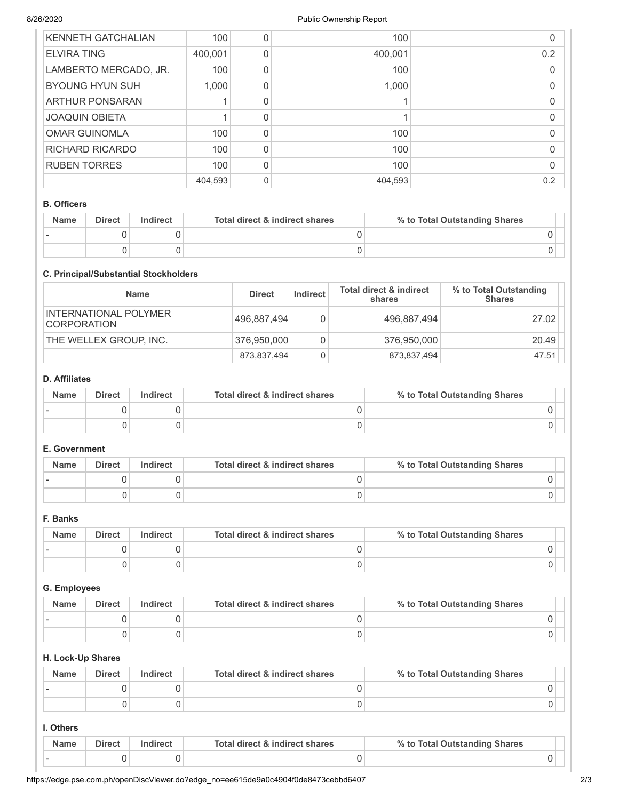| <b>KENNETH GATCHALIAN</b> | 100     | 100     |     |
|---------------------------|---------|---------|-----|
| <b>ELVIRA TING</b>        | 400,001 | 400,001 | 0.2 |
| LAMBERTO MERCADO, JR.     | 100     | 100     |     |
| <b>BYOUNG HYUN SUH</b>    | 1,000   | 1,000   |     |
| ARTHUR PONSARAN           |         |         |     |
| <b>JOAQUIN OBIETA</b>     |         |         |     |
| <b>OMAR GUINOMLA</b>      | 100     | 100     |     |
| <b>RICHARD RICARDO</b>    | 100     | 100     |     |
| <b>RUBEN TORRES</b>       | 100     | 100     |     |
|                           | 404,593 | 404,593 | 0.2 |

#### B. Officers

| <b>Name</b> | <b>Direct</b> | Indirect | Total direct & indirect shares | % to Total Outstanding Shares |
|-------------|---------------|----------|--------------------------------|-------------------------------|
|             |               |          |                                |                               |
|             |               |          |                                |                               |

#### C. Principal/Substantial Stockholders

| <b>Name</b>                                 | <b>Direct</b> | Indirect | <b>Total direct &amp; indirect</b><br>shares | % to Total Outstanding<br><b>Shares</b> |
|---------------------------------------------|---------------|----------|----------------------------------------------|-----------------------------------------|
| INTERNATIONAL POLYMER<br><b>CORPORATION</b> | 496,887,494   |          | 496,887,494                                  | 27.02                                   |
| THE WELLEX GROUP, INC.                      | 376,950,000   |          | 376,950,000                                  | 20.49                                   |
|                                             | 873,837,494   | 0        | 873,837,494                                  | 47.51                                   |

### D. Affiliates

| <b>Name</b> | <b>Direct</b> | Indirect | Total direct & indirect shares | % to Total Outstanding Shares |
|-------------|---------------|----------|--------------------------------|-------------------------------|
|             |               |          |                                |                               |
|             |               |          |                                |                               |

# E. Government

| <b>Name</b> | <b>Direct</b> | Indirect | Total direct & indirect shares | % to Total Outstanding Shares |
|-------------|---------------|----------|--------------------------------|-------------------------------|
|             |               |          |                                |                               |
|             |               |          |                                |                               |

### F. Banks

| <b>Name</b> | <b>Direct</b> | Indirect | Total direct & indirect shares | % to Total Outstanding Shares |
|-------------|---------------|----------|--------------------------------|-------------------------------|
|             |               |          |                                |                               |
|             |               |          |                                |                               |

#### G. Employees

| <b>Name</b> | <b>Direct</b> | Indirect | Total direct & indirect shares | % to Total Outstanding Shares |
|-------------|---------------|----------|--------------------------------|-------------------------------|
|             |               |          |                                |                               |
|             |               |          |                                |                               |

#### H. Lock-Up Shares

| <b>Name</b> | <b>Direct</b> | Indirect | Total direct & indirect shares | % to Total Outstanding Shares |
|-------------|---------------|----------|--------------------------------|-------------------------------|
|             |               |          |                                |                               |
|             |               |          |                                |                               |

## I. Others

| <b>Name</b> | <b>Direct</b> | Total direct & indirect shares | % to Total Outstanding Shares |  |
|-------------|---------------|--------------------------------|-------------------------------|--|
|             |               |                                |                               |  |